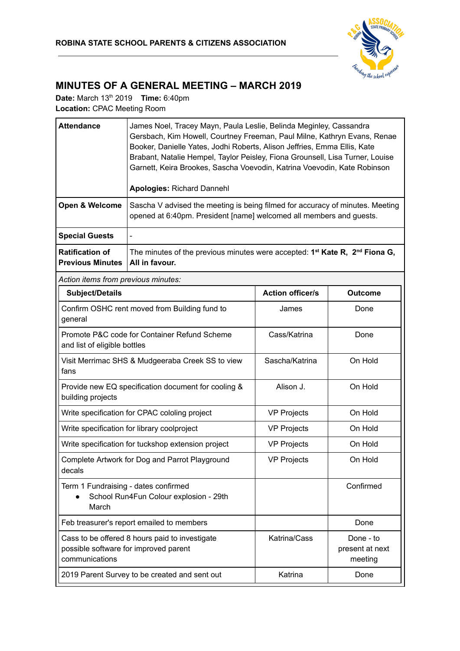

## **MINUTES OF A GENERAL MEETING – MARCH 2019**

**Date:** March 13<sup>th</sup> 2019 **Time:** 6:40pm **Location:** CPAC Meeting Room

| <b>Attendance</b>                                                                       | James Noel, Tracey Mayn, Paula Leslie, Belinda Meginley, Cassandra<br>Gersbach, Kim Howell, Courtney Freeman, Paul Milne, Kathryn Evans, Renae<br>Booker, Danielle Yates, Jodhi Roberts, Alison Jeffries, Emma Ellis, Kate<br>Brabant, Natalie Hempel, Taylor Peisley, Fiona Grounsell, Lisa Turner, Louise<br>Garnett, Keira Brookes, Sascha Voevodin, Katrina Voevodin, Kate Robinson<br><b>Apologies: Richard Dannehl</b> |                         |                                         |  |  |
|-----------------------------------------------------------------------------------------|------------------------------------------------------------------------------------------------------------------------------------------------------------------------------------------------------------------------------------------------------------------------------------------------------------------------------------------------------------------------------------------------------------------------------|-------------------------|-----------------------------------------|--|--|
| Open & Welcome                                                                          | Sascha V advised the meeting is being filmed for accuracy of minutes. Meeting<br>opened at 6:40pm. President [name] welcomed all members and guests.                                                                                                                                                                                                                                                                         |                         |                                         |  |  |
| <b>Special Guests</b>                                                                   |                                                                                                                                                                                                                                                                                                                                                                                                                              |                         |                                         |  |  |
| <b>Ratification of</b><br><b>Previous Minutes</b>                                       | The minutes of the previous minutes were accepted: $1st$ Kate R, $2nd$ Fiona G,<br>All in favour.                                                                                                                                                                                                                                                                                                                            |                         |                                         |  |  |
| Action items from previous minutes:                                                     |                                                                                                                                                                                                                                                                                                                                                                                                                              |                         |                                         |  |  |
| <b>Subject/Details</b>                                                                  |                                                                                                                                                                                                                                                                                                                                                                                                                              | <b>Action officer/s</b> | <b>Outcome</b>                          |  |  |
| Confirm OSHC rent moved from Building fund to<br>general                                |                                                                                                                                                                                                                                                                                                                                                                                                                              | James                   | Done                                    |  |  |
| Promote P&C code for Container Refund Scheme<br>and list of eligible bottles            |                                                                                                                                                                                                                                                                                                                                                                                                                              | Cass/Katrina            | Done                                    |  |  |
| Visit Merrimac SHS & Mudgeeraba Creek SS to view<br>fans                                |                                                                                                                                                                                                                                                                                                                                                                                                                              | Sascha/Katrina          | On Hold                                 |  |  |
| Provide new EQ specification document for cooling &<br>building projects                |                                                                                                                                                                                                                                                                                                                                                                                                                              | Alison J.               | On Hold                                 |  |  |
|                                                                                         | Write specification for CPAC cololing project                                                                                                                                                                                                                                                                                                                                                                                | <b>VP Projects</b>      | On Hold                                 |  |  |
|                                                                                         | Write specification for library coolproject                                                                                                                                                                                                                                                                                                                                                                                  | <b>VP Projects</b>      | On Hold                                 |  |  |
|                                                                                         | Write specification for tuckshop extension project                                                                                                                                                                                                                                                                                                                                                                           | <b>VP Projects</b>      | On Hold                                 |  |  |
| Complete Artwork for Dog and Parrot Playground<br>decals                                |                                                                                                                                                                                                                                                                                                                                                                                                                              | <b>VP Projects</b>      | On Hold                                 |  |  |
| Term 1 Fundraising - dates confirmed<br>School Run4Fun Colour explosion - 29th<br>March |                                                                                                                                                                                                                                                                                                                                                                                                                              |                         | Confirmed                               |  |  |
|                                                                                         | Feb treasurer's report emailed to members                                                                                                                                                                                                                                                                                                                                                                                    |                         | Done                                    |  |  |
| communications                                                                          | Cass to be offered 8 hours paid to investigate<br>possible software for improved parent                                                                                                                                                                                                                                                                                                                                      | Katrina/Cass            | Done - to<br>present at next<br>meeting |  |  |
|                                                                                         | 2019 Parent Survey to be created and sent out                                                                                                                                                                                                                                                                                                                                                                                | Katrina                 | Done                                    |  |  |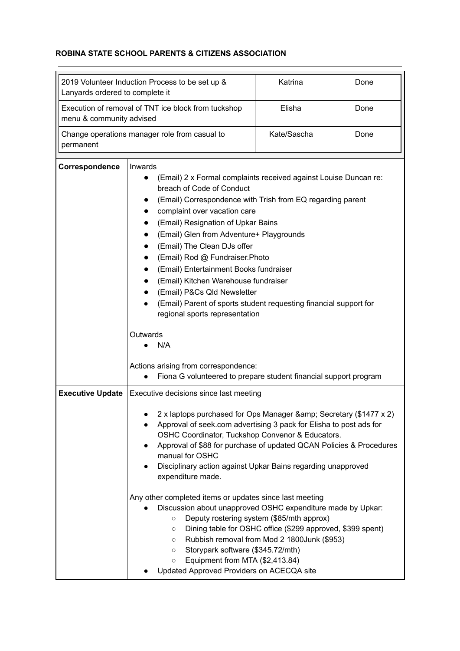## **ROBINA STATE SCHOOL PARENTS & CITIZENS ASSOCIATION**

| 2019 Volunteer Induction Process to be set up &<br>Lanyards ordered to complete it |                                                                                                                                                                                                                                                                                                                                                                                                                                                                                                                                                                                                      | Katrina                                                                                                                                                | Done |  |  |
|------------------------------------------------------------------------------------|------------------------------------------------------------------------------------------------------------------------------------------------------------------------------------------------------------------------------------------------------------------------------------------------------------------------------------------------------------------------------------------------------------------------------------------------------------------------------------------------------------------------------------------------------------------------------------------------------|--------------------------------------------------------------------------------------------------------------------------------------------------------|------|--|--|
| menu & community advised                                                           | Execution of removal of TNT ice block from tuckshop                                                                                                                                                                                                                                                                                                                                                                                                                                                                                                                                                  | Elisha                                                                                                                                                 | Done |  |  |
| Change operations manager role from casual to<br>permanent                         |                                                                                                                                                                                                                                                                                                                                                                                                                                                                                                                                                                                                      | Kate/Sascha                                                                                                                                            | Done |  |  |
| Correspondence                                                                     | Inwards<br>(Email) 2 x Formal complaints received against Louise Duncan re:<br>breach of Code of Conduct<br>(Email) Correspondence with Trish from EQ regarding parent<br>complaint over vacation care<br>(Email) Resignation of Upkar Bains<br>(Email) Glen from Adventure+ Playgrounds<br>(Email) The Clean DJs offer<br>(Email) Rod @ Fundraiser.Photo<br>(Email) Entertainment Books fundraiser<br>(Email) Kitchen Warehouse fundraiser<br>(Email) P&Cs Qld Newsletter<br>(Email) Parent of sports student requesting financial support for<br>regional sports representation<br>Outwards<br>N/A |                                                                                                                                                        |      |  |  |
|                                                                                    | Actions arising from correspondence:<br>Fiona G volunteered to prepare student financial support program<br>$\bullet$                                                                                                                                                                                                                                                                                                                                                                                                                                                                                |                                                                                                                                                        |      |  |  |
| <b>Executive Update</b>                                                            | Executive decisions since last meeting                                                                                                                                                                                                                                                                                                                                                                                                                                                                                                                                                               |                                                                                                                                                        |      |  |  |
|                                                                                    | 2 x laptops purchased for Ops Manager & amp; Secretary (\$1477 x 2)<br>Approval of seek.com advertising 3 pack for Elisha to post ads for<br>OSHC Coordinator, Tuckshop Convenor & Educators.<br>Approval of \$88 for purchase of updated QCAN Policies & Procedures<br>manual for OSHC<br>Disciplinary action against Upkar Bains regarding unapproved<br>expenditure made.                                                                                                                                                                                                                         |                                                                                                                                                        |      |  |  |
|                                                                                    | Any other completed items or updates since last meeting<br>Discussion about unapproved OSHC expenditure made by Upkar:<br>$\circ$<br>$\circ$<br>$\circ$<br>Storypark software (\$345.72/mth)<br>$\circ$<br>Equipment from MTA (\$2,413.84)<br>$\circ$<br>Updated Approved Providers on ACECQA site                                                                                                                                                                                                                                                                                                   | Deputy rostering system (\$85/mth approx)<br>Dining table for OSHC office (\$299 approved, \$399 spent)<br>Rubbish removal from Mod 2 1800Junk (\$953) |      |  |  |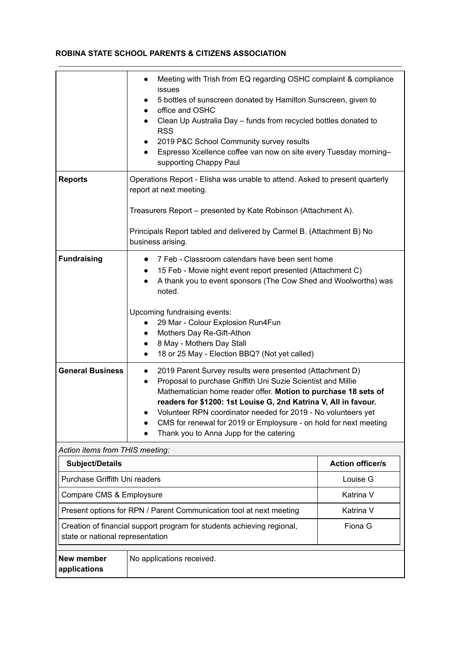## **ROBINA STATE SCHOOL PARENTS & CITIZENS ASSOCIATION**

|                                                                                                                       | Meeting with Trish from EQ regarding OSHC complaint & compliance<br>$\bullet$<br>issues<br>5 bottles of sunscreen donated by Hamilton Sunscreen, given to<br>$\bullet$<br>office and OSHC<br>$\bullet$<br>Clean Up Australia Day - funds from recycled bottles donated to<br><b>RSS</b><br>2019 P&C School Community survey results<br>$\bullet$<br>Espresso Xcellence coffee van now on site every Tuesday morning-<br>supporting Chappy Paul                           |                         |  |
|-----------------------------------------------------------------------------------------------------------------------|--------------------------------------------------------------------------------------------------------------------------------------------------------------------------------------------------------------------------------------------------------------------------------------------------------------------------------------------------------------------------------------------------------------------------------------------------------------------------|-------------------------|--|
| <b>Reports</b>                                                                                                        | Operations Report - Elisha was unable to attend. Asked to present quarterly<br>report at next meeting.                                                                                                                                                                                                                                                                                                                                                                   |                         |  |
|                                                                                                                       | Treasurers Report – presented by Kate Robinson (Attachment A).                                                                                                                                                                                                                                                                                                                                                                                                           |                         |  |
|                                                                                                                       | Principals Report tabled and delivered by Carmel B. (Attachment B) No<br>business arising.                                                                                                                                                                                                                                                                                                                                                                               |                         |  |
| <b>Fundraising</b>                                                                                                    | 7 Feb - Classroom calendars have been sent home<br>$\bullet$<br>15 Feb - Movie night event report presented (Attachment C)<br>A thank you to event sponsors (The Cow Shed and Woolworths) was<br>noted.                                                                                                                                                                                                                                                                  |                         |  |
|                                                                                                                       | Upcoming fundraising events:<br>29 Mar - Colour Explosion Run4Fun<br>Mothers Day Re-Gift-Athon<br>$\bullet$<br>8 May - Mothers Day Stall<br>18 or 25 May - Election BBQ? (Not yet called)                                                                                                                                                                                                                                                                                |                         |  |
| <b>General Business</b>                                                                                               | 2019 Parent Survey results were presented (Attachment D)<br>$\bullet$<br>Proposal to purchase Griffith Uni Suzie Scientist and Millie<br>$\bullet$<br>Mathematician home reader offer. Motion to purchase 18 sets of<br>readers for \$1200: 1st Louise G, 2nd Katrina V, All in favour.<br>Volunteer RPN coordinator needed for 2019 - No volunteers yet<br>CMS for renewal for 2019 or Employsure - on hold for next meeting<br>Thank you to Anna Jupp for the catering |                         |  |
| Action items from THIS meeting:                                                                                       |                                                                                                                                                                                                                                                                                                                                                                                                                                                                          |                         |  |
| <b>Subject/Details</b>                                                                                                |                                                                                                                                                                                                                                                                                                                                                                                                                                                                          | <b>Action officer/s</b> |  |
| Purchase Griffith Uni readers                                                                                         |                                                                                                                                                                                                                                                                                                                                                                                                                                                                          | Louise G                |  |
| Compare CMS & Employsure                                                                                              |                                                                                                                                                                                                                                                                                                                                                                                                                                                                          | Katrina V               |  |
| Present options for RPN / Parent Communication tool at next meeting                                                   |                                                                                                                                                                                                                                                                                                                                                                                                                                                                          | Katrina V               |  |
| Fiona G<br>Creation of financial support program for students achieving regional,<br>state or national representation |                                                                                                                                                                                                                                                                                                                                                                                                                                                                          |                         |  |
| New member<br>applications                                                                                            | No applications received.                                                                                                                                                                                                                                                                                                                                                                                                                                                |                         |  |